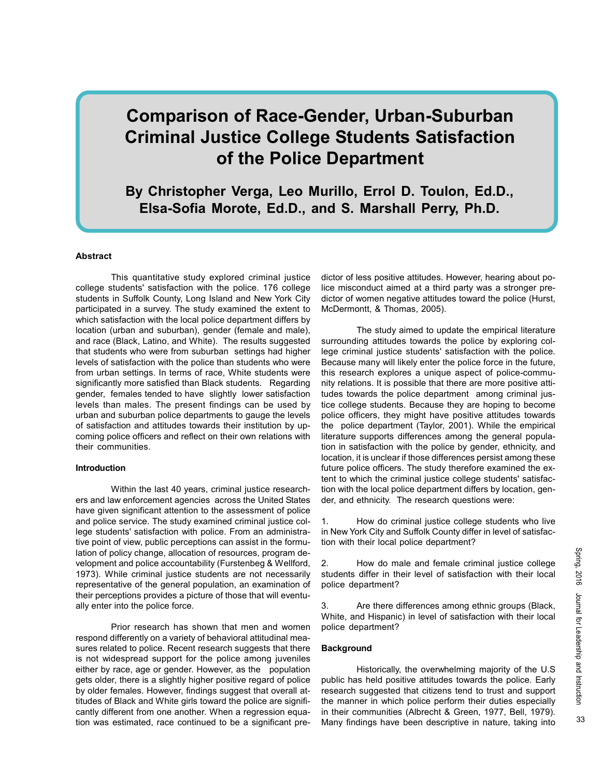# Comparison of Race-Gender, Urban-Suburban Criminal Justice College Students Satisfaction of the Police Department

By Christopher Verga, Leo Murillo, Errol D. Toulon, Ed.D., Elsa-Sofia Morote, Ed.D., and S. Marshall Perry, Ph.D.

## **Abstract**

This quantitative study explored criminal justice college students' satisfaction with the police. 176 college students in Suffolk County, Long Island and New York City participated in a survey. The study examined the extent to which satisfaction with the local police department differs by location (urban and suburban), gender (female and male), and race (Black, Latino, and White). The results suggested that students who were from suburban settings had higher levels of satisfaction with the police than students who were from urban settings. In terms of race, White students were significantly more satisfied than Black students. Regarding gender, females tended to have slightly lower satisfaction levels than males. The present findings can be used by urban and suburban police departments to gauge the levels of satisfaction and attitudes towards their institution by upcoming police officers and reflect on their own relations with their communities.

#### Introduction

Within the last 40 years, criminal justice researchers and law enforcement agencies across the United States have given significant attention to the assessment of police and police service. The study examined criminal justice college students' satisfaction with police. From an administrative point of view, public perceptions can assist in the formulation of policy change, allocation of resources, program development and police accountability (Furstenbeg & Wellford, 1973). While criminal justice students are not necessarily representative of the general population, an examination of their perceptions provides a picture of those that will eventually enter into the police force.

Prior research has shown that men and women respond differently on a variety of behavioral attitudinal measures related to police. Recent research suggests that there is not widespread support for the police among juveniles either by race, age or gender. However, as the population gets older, there is a slightly higher positive regard of police by older females. However, findings suggest that overall attitudes of Black and White girls toward the police are significantly different from one another. When a regression equation was estimated, race continued to be a significant pre-

dictor of less positive attitudes. However, hearing about police misconduct aimed at a third party was a stronger predictor of women negative attitudes toward the police (Hurst, McDermontt, & Thomas, 2005).

The study aimed to update the empirical literature surrounding attitudes towards the police by exploring college criminal justice students' satisfaction with the police. Because many will likely enter the police force in the future, this research explores a unique aspect of police-community relations. It is possible that there are more positive attitudes towards the police department among criminal justice college students. Because they are hoping to become police officers, they might have positive attitudes towards the police department (Taylor, 2001). While the empirical literature supports differences among the general population in satisfaction with the police by gender, ethnicity, and location, it is unclear if those differences persist among these future police officers. The study therefore examined the extent to which the criminal justice college students' satisfaction with the local police department differs by location, gender, and ethnicity. The research questions were:

1. How do criminal justice college students who live in New York City and Suffolk County differ in level of satisfaction with their local police department?

2. How do male and female criminal justice college students differ in their level of satisfaction with their local police department?

3. Are there differences among ethnic groups (Black, White, and Hispanic) in level of satisfaction with their local police department?

#### **Background**

Historically, the overwhelming majority of the U.S public has held positive attitudes towards the police. Early research suggested that citizens tend to trust and support the manner in which police perform their duties especially in their communities (Albrecht & Green, 1977, Bell, 1979). Many findings have been descriptive in nature, taking into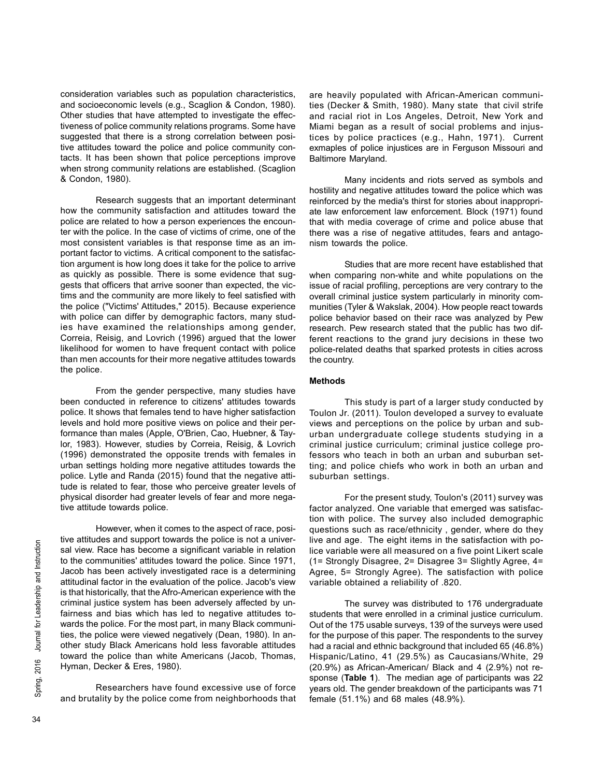consideration variables such as population characteristics, and socioeconomic levels (e.g., Scaglion & Condon, 1980). Other studies that have attempted to investigate the effectiveness of police community relations programs. Some have suggested that there is a strong correlation between positive attitudes toward the police and police community contacts. It has been shown that police perceptions improve when strong community relations are established. (Scaglion & Condon, 1980).

Research suggests that an important determinant how the community satisfaction and attitudes toward the police are related to how a person experiences the encounter with the police. In the case of victims of crime, one of the most consistent variables is that response time as an important factor to victims. A critical component to the satisfaction argument is how long does it take for the police to arrive as quickly as possible. There is some evidence that suggests that officers that arrive sooner than expected, the victims and the community are more likely to feel satisfied with the police ("Victims' Attitudes," 2015). Because experience with police can differ by demographic factors, many studies have examined the relationships among gender, Correia, Reisig, and Lovrich (1996) argued that the lower likelihood for women to have frequent contact with police than men accounts for their more negative attitudes towards the police.

From the gender perspective, many studies have been conducted in reference to citizens' attitudes towards police. It shows that females tend to have higher satisfaction levels and hold more positive views on police and their performance than males (Apple, O'Brien, Cao, Huebner, & Taylor, 1983). However, studies by Correia, Reisig, & Lovrich (1996) demonstrated the opposite trends with females in urban settings holding more negative attitudes towards the police. Lytle and Randa (2015) found that the negative attitude is related to fear, those who perceive greater levels of physical disorder had greater levels of fear and more negative attitude towards police.

 $\frac{1}{2}$  and view. Race has become a si<br>to the communities' attitudes tov<br>Jacob has been actively investige<br>attitudinal factor in the evaluation<br>is that historically, that the Afro-A<br>criminal justice system has bee<br>fairn However, when it comes to the aspect of race, positive attitudes and support towards the police is not a universal view. Race has become a significant variable in relation to the communities' attitudes toward the police. Since 1971, Jacob has been actively investigated race is a determining attitudinal factor in the evaluation of the police. Jacob's view is that historically, that the Afro-American experience with the criminal justice system has been adversely affected by unfairness and bias which has led to negative attitudes towards the police. For the most part, in many Black communities, the police were viewed negatively (Dean, 1980). In another study Black Americans hold less favorable attitudes toward the police than white Americans (Jacob, Thomas, Hyman, Decker & Eres, 1980).

Researchers have found excessive use of force and brutality by the police come from neighborhoods that are heavily populated with African-American communities (Decker & Smith, 1980). Many state that civil strife and racial riot in Los Angeles, Detroit, New York and Miami began as a result of social problems and injustices by police practices (e.g., Hahn, 1971). Current exmaples of police injustices are in Ferguson Missouri and Baltimore Maryland.

Many incidents and riots served as symbols and hostility and negative attitudes toward the police which was reinforced by the media's thirst for stories about inappropriate law enforcement law enforcement. Block (1971) found that with media coverage of crime and police abuse that there was a rise of negative attitudes, fears and antagonism towards the police.

Studies that are more recent have established that when comparing non-white and white populations on the issue of racial profiling, perceptions are very contrary to the overall criminal justice system particularly in minority communities (Tyler & Wakslak, 2004). How people react towards police behavior based on their race was analyzed by Pew research. Pew research stated that the public has two different reactions to the grand jury decisions in these two police-related deaths that sparked protests in cities across the country.

## Methods

This study is part of a larger study conducted by Toulon Jr. (2011). Toulon developed a survey to evaluate views and perceptions on the police by urban and suburban undergraduate college students studying in a criminal justice curriculum; criminal justice college professors who teach in both an urban and suburban setting; and police chiefs who work in both an urban and suburban settings.

For the present study, Toulon's (2011) survey was factor analyzed. One variable that emerged was satisfaction with police. The survey also included demographic questions such as race/ethnicity , gender, where do they live and age. The eight items in the satisfaction with police variable were all measured on a five point Likert scale (1= Strongly Disagree, 2= Disagree 3= Slightly Agree, 4= Agree, 5= Strongly Agree). The satisfaction with police variable obtained a reliability of .820.

The survey was distributed to 176 undergraduate students that were enrolled in a criminal justice curriculum. Out of the 175 usable surveys, 139 of the surveys were used for the purpose of this paper. The respondents to the survey had a racial and ethnic background that included 65 (46.8%) Hispanic/Latino, 41 (29.5%) as Caucasians/White, 29 (20.9%) as African-American/ Black and 4 (2.9%) not response (Table 1). The median age of participants was 22 years old. The gender breakdown of the participants was 71 female (51.1%) and 68 males (48.9%).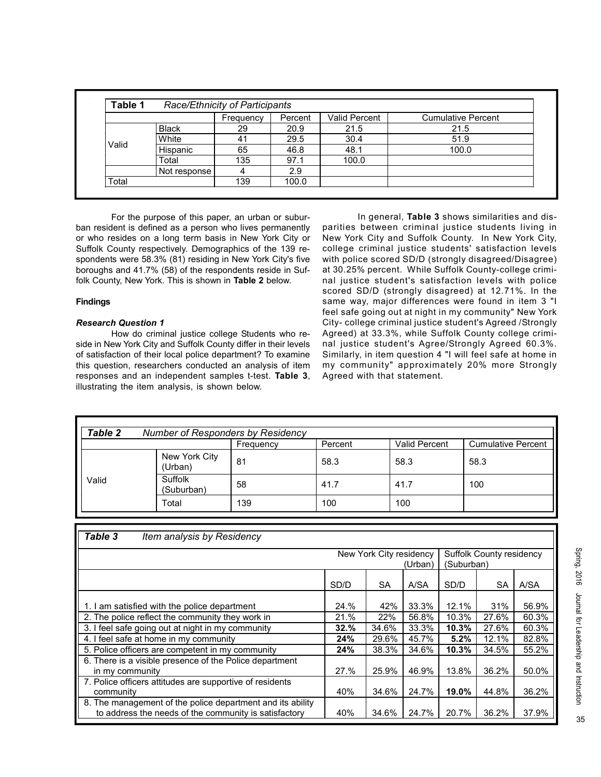|       | Table 1<br>Race/Ethnicity of Participants |           |         |                      |                           |  |  |  |  |  |
|-------|-------------------------------------------|-----------|---------|----------------------|---------------------------|--|--|--|--|--|
|       |                                           | Frequency | Percent | <b>Valid Percent</b> | <b>Cumulative Percent</b> |  |  |  |  |  |
|       | <b>Black</b>                              | 29        | 20.9    | 21.5                 | 21.5                      |  |  |  |  |  |
| Valid | White                                     | 41        | 29.5    | 30.4                 | 51.9                      |  |  |  |  |  |
|       | Hispanic                                  | 65        | 46.8    | 48.1                 | 100.0                     |  |  |  |  |  |
|       | Total                                     | 135       | 97.1    | 100.0                |                           |  |  |  |  |  |
|       | Not response                              |           | 2.9     |                      |                           |  |  |  |  |  |
| Total |                                           | 139       | 100.0   |                      |                           |  |  |  |  |  |

For the purpose of this paper, an urban or suburban resident is defined as a person who lives permanently or who resides on a long term basis in New York City or Suffolk County respectively. Demographics of the 139 respondents were 58.3% (81) residing in New York City's five boroughs and 41.7% (58) of the respondents reside in Suffolk County, New York. This is shown in Table 2 below.

# Findings

## Research Question 1

How do criminal justice college Students who reside in New York City and Suffolk County differ in their levels of satisfaction of their local police department? To examine this question, researchers conducted an analysis of item responses and an independent samples t-test. Table 3, illustrating the item analysis, is shown below.

In general, Table 3 shows similarities and disparities between criminal justice students living in New York City and Suffolk County. In New York City, college criminal justice students' satisfaction levels with police scored SD/D (strongly disagreed/Disagree) at 30.25% percent. While Suffolk County-college criminal justice student's satisfaction levels with police scored SD/D (strongly disagreed) at 12.71%. In the same way, major differences were found in item 3 "I feel safe going out at night in my community" New York City- college criminal justice student's Agreed /Strongly Agreed) at 33.3%, while Suffolk County college criminal justice student's Agree/Strongly Agreed 60.3%. Similarly, in item question 4 "I will feel safe at home in my community" approximately 20% more Strongly Agreed with that statement.

| <b>Table 2</b> | <b>Number of Responders by Residency</b> |           |         |               |                           |  |  |  |
|----------------|------------------------------------------|-----------|---------|---------------|---------------------------|--|--|--|
|                |                                          | Frequency | Percent | Valid Percent | <b>Cumulative Percent</b> |  |  |  |
|                | New York City<br>(Urban)                 | 81        | 58.3    | 58.3          | 58.3                      |  |  |  |
| Valid          | Suffolk<br>(Suburban)                    | 58        | 41.7    | 41.7          | 100                       |  |  |  |
|                | Total                                    | 139       | 100     | 100           |                           |  |  |  |

| Table 3<br>Item analysis by Residency                                                                               |                                    |           |       |                                               |           |       |
|---------------------------------------------------------------------------------------------------------------------|------------------------------------|-----------|-------|-----------------------------------------------|-----------|-------|
|                                                                                                                     | New York City residency<br>(Urban) |           |       | <b>Suffolk County residency</b><br>(Suburban) |           |       |
|                                                                                                                     | SD/D                               | <b>SA</b> | A/SA  | SD/D                                          | <b>SA</b> | A/SA  |
| 1. I am satisfied with the police department                                                                        | 24.%                               | 42%       | 33.3% | 12.1%                                         | 31%       | 56.9% |
| 2. The police reflect the community they work in                                                                    | 21.%                               | 22%       | 56.8% | 10.3%                                         | 27.6%     | 60.3% |
| 3. I feel safe going out at night in my community                                                                   | 32.%                               | 34.6%     | 33.3% | 10.3%                                         | 27.6%     | 60.3% |
| 4. I feel safe at home in my community                                                                              | 24%                                | 29.6%     | 45.7% | 5.2%                                          | 12.1%     | 82.8% |
| 5. Police officers are competent in my community                                                                    | 24%                                | 38.3%     | 34.6% | 10.3%                                         | 34.5%     | 55.2% |
| 6. There is a visible presence of the Police department<br>in my community                                          | 27.%                               | 25.9%     | 46.9% | 13.8%                                         | 36.2%     | 50.0% |
| 7. Police officers attitudes are supportive of residents<br>community                                               | 40%                                | 34.6%     | 24.7% | 19.0%                                         | 44.8%     | 36.2% |
| 8. The management of the police department and its ability<br>to address the needs of the community is satisfactory | 40%                                | 34.6%     | 24.7% | 20.7%                                         | 36.2%     | 37.9% |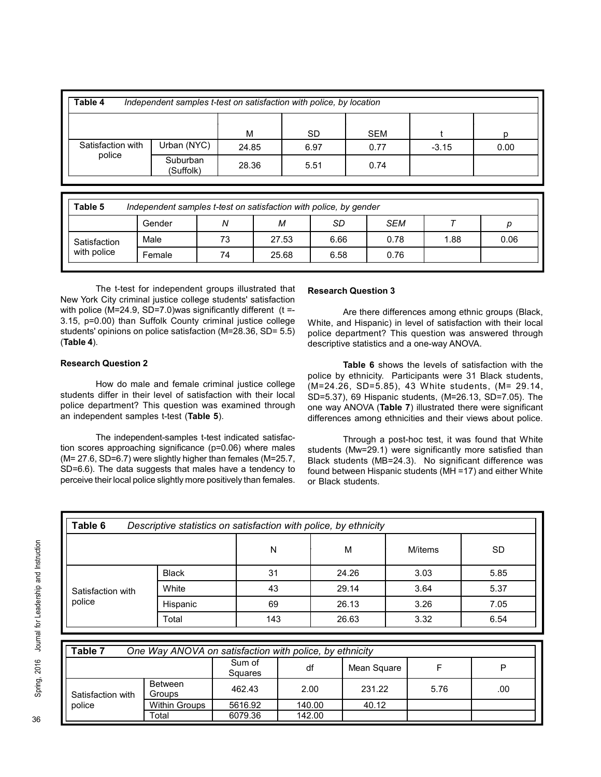| Table 4<br>Independent samples t-test on satisfaction with police, by location |                       |       |           |            |         |      |  |  |  |  |
|--------------------------------------------------------------------------------|-----------------------|-------|-----------|------------|---------|------|--|--|--|--|
|                                                                                |                       | M     | <b>SD</b> | <b>SEM</b> |         |      |  |  |  |  |
| Satisfaction with                                                              | Urban (NYC)           | 24.85 | 6.97      | 0.77       | $-3.15$ | 0.00 |  |  |  |  |
| police                                                                         | Suburban<br>(Suffolk) | 28.36 | 5.51      | 0.74       |         |      |  |  |  |  |

| Table 5<br>Independent samples t-test on satisfaction with police, by gender |        |    |       |      |      |      |      |  |  |
|------------------------------------------------------------------------------|--------|----|-------|------|------|------|------|--|--|
|                                                                              | Gender | Ν  | м     | SD   | SEM  |      |      |  |  |
| Satisfaction                                                                 | Male   | 73 | 27.53 | 6.66 | 0.78 | 1.88 | 0.06 |  |  |
| with police                                                                  | Female | 74 | 25.68 | 6.58 | 0.76 |      |      |  |  |

The t-test for independent groups illustrated that New York City criminal justice college students' satisfaction with police ( $M=24.9$ ,  $SD=7.0$ )was significantly different (t =-3.15, p=0.00) than Suffolk County criminal justice college students' opinions on police satisfaction (M=28.36, SD= 5.5) (Table 4).

# Research Question 2

How do male and female criminal justice college students differ in their level of satisfaction with their local police department? This question was examined through an independent samples t-test (Table 5).

The independent-samples t-test indicated satisfaction scores approaching significance (p=0.06) where males (M= 27.6, SD=6.7) were slightly higher than females (M=25.7, SD=6.6). The data suggests that males have a tendency to perceive their local police slightly more positively than females.

# Research Question 3

Are there differences among ethnic groups (Black, White, and Hispanic) in level of satisfaction with their local police department? This question was answered through descriptive statistics and a one-way ANOVA.

Table 6 shows the levels of satisfaction with the police by ethnicity. Participants were 31 Black students, (M=24.26, SD=5.85), 43 White students, (M= 29.14, SD=5.37), 69 Hispanic students, (M=26.13, SD=7.05). The one way ANOVA (Table 7) illustrated there were significant differences among ethnicities and their views about police.

Through a post-hoc test, it was found that White students (Mw=29.1) were significantly more satisfied than Black students (MB=24.3). No significant difference was found between Hispanic students (MH =17) and either White or Black students.

|                                        |                                                         | N                 |        | M           | M/items | <b>SD</b> |
|----------------------------------------|---------------------------------------------------------|-------------------|--------|-------------|---------|-----------|
|                                        | <b>Black</b>                                            | 31                |        | 24.26       | 3.03    | 5.85      |
| Satisfaction with<br>police            | White                                                   |                   | 43     | 29.14       | 3.64    | 5.37      |
|                                        | Hispanic                                                | 69                |        | 26.13       | 3.26    | 7.05      |
|                                        | Total                                                   | 143               |        | 26.63       | 3.32    | 6.54      |
|                                        |                                                         |                   |        |             |         |           |
|                                        | One Way ANOVA on satisfaction with police, by ethnicity | Sum of<br>Squares | df     | Mean Square | F       | P         |
|                                        | <b>Between</b><br>Groups                                | 462.43            | 2.00   | 231.22      | 5.76    | .00       |
| Table 7<br>Satisfaction with<br>police | <b>Within Groups</b>                                    | 5616.92           | 140.00 | 40.12       |         |           |

| Table 7<br>One Way ANOVA on satisfaction with police, by ethnicity |                          |                   |        |             |      |     |  |  |  |
|--------------------------------------------------------------------|--------------------------|-------------------|--------|-------------|------|-----|--|--|--|
|                                                                    |                          | Sum of<br>Squares | df     | Mean Square |      |     |  |  |  |
| Satisfaction with                                                  | Between<br><b>Groups</b> | 462.43            | 2.00   | 231.22      | 5.76 | .00 |  |  |  |
| police                                                             | <b>Within Groups</b>     | 5616.92           | 140.00 | 40.12       |      |     |  |  |  |
|                                                                    | Total                    | 6079.36           | 142.00 |             |      |     |  |  |  |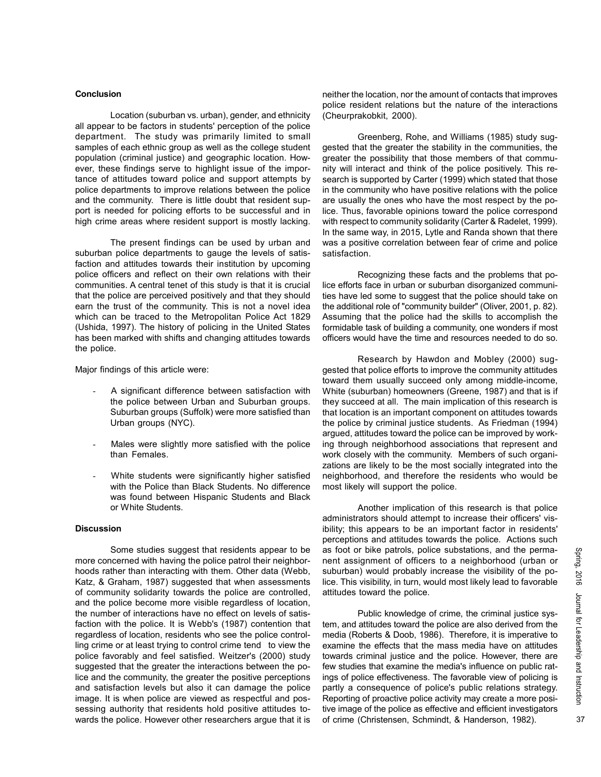### **Conclusion**

Location (suburban vs. urban), gender, and ethnicity all appear to be factors in students' perception of the police department. The study was primarily limited to small samples of each ethnic group as well as the college student population (criminal justice) and geographic location. However, these findings serve to highlight issue of the importance of attitudes toward police and support attempts by police departments to improve relations between the police and the community. There is little doubt that resident support is needed for policing efforts to be successful and in high crime areas where resident support is mostly lacking.

The present findings can be used by urban and suburban police departments to gauge the levels of satisfaction and attitudes towards their institution by upcoming police officers and reflect on their own relations with their communities. A central tenet of this study is that it is crucial that the police are perceived positively and that they should earn the trust of the community. This is not a novel idea which can be traced to the Metropolitan Police Act 1829 (Ushida, 1997). The history of policing in the United States has been marked with shifts and changing attitudes towards the police.

Major findings of this article were:

- A significant difference between satisfaction with the police between Urban and Suburban groups. Suburban groups (Suffolk) were more satisfied than Urban groups (NYC).
- Males were slightly more satisfied with the police than Females.
- White students were significantly higher satisfied with the Police than Black Students. No difference was found between Hispanic Students and Black or White Students.

#### **Discussion**

Some studies suggest that residents appear to be more concerned with having the police patrol their neighborhoods rather than interacting with them. Other data (Webb, Katz, & Graham, 1987) suggested that when assessments of community solidarity towards the police are controlled, and the police become more visible regardless of location, the number of interactions have no effect on levels of satisfaction with the police. It is Webb's (1987) contention that regardless of location, residents who see the police controlling crime or at least trying to control crime tend to view the police favorably and feel satisfied. Weitzer's (2000) study suggested that the greater the interactions between the police and the community, the greater the positive perceptions and satisfaction levels but also it can damage the police image. It is when police are viewed as respectful and possessing authority that residents hold positive attitudes towards the police. However other researchers argue that it is neither the location, nor the amount of contacts that improves police resident relations but the nature of the interactions (Cheurprakobkit, 2000).

Greenberg, Rohe, and Williams (1985) study suggested that the greater the stability in the communities, the greater the possibility that those members of that community will interact and think of the police positively. This research is supported by Carter (1999) which stated that those in the community who have positive relations with the police are usually the ones who have the most respect by the police. Thus, favorable opinions toward the police correspond with respect to community solidarity (Carter & Radelet, 1999). In the same way, in 2015, Lytle and Randa shown that there was a positive correlation between fear of crime and police satisfaction.

Recognizing these facts and the problems that police efforts face in urban or suburban disorganized communities have led some to suggest that the police should take on the additional role of "community builder" (Oliver, 2001, p. 82). Assuming that the police had the skills to accomplish the formidable task of building a community, one wonders if most officers would have the time and resources needed to do so.

Research by Hawdon and Mobley (2000) suggested that police efforts to improve the community attitudes toward them usually succeed only among middle-income, White (suburban) homeowners (Greene, 1987) and that is if they succeed at all. The main implication of this research is that location is an important component on attitudes towards the police by criminal justice students. As Friedman (1994) argued, attitudes toward the police can be improved by working through neighborhood associations that represent and work closely with the community. Members of such organizations are likely to be the most socially integrated into the neighborhood, and therefore the residents who would be most likely will support the police.

Another implication of this research is that police administrators should attempt to increase their officers' visibility; this appears to be an important factor in residents' perceptions and attitudes towards the police. Actions such as foot or bike patrols, police substations, and the permanent assignment of officers to a neighborhood (urban or suburban) would probably increase the visibility of the police. This visibility, in turn, would most likely lead to favorable attitudes toward the police.

Public knowledge of crime, the criminal justice system, and attitudes toward the police are also derived from the media (Roberts & Doob, 1986). Therefore, it is imperative to examine the effects that the mass media have on attitudes towards criminal justice and the police. However, there are few studies that examine the media's influence on public ratings of police effectiveness. The favorable view of policing is partly a consequence of police's public relations strategy. Reporting of proactive police activity may create a more positive image of the police as effective and efficient investigators of crime (Christensen, Schmindt, & Handerson, 1982).